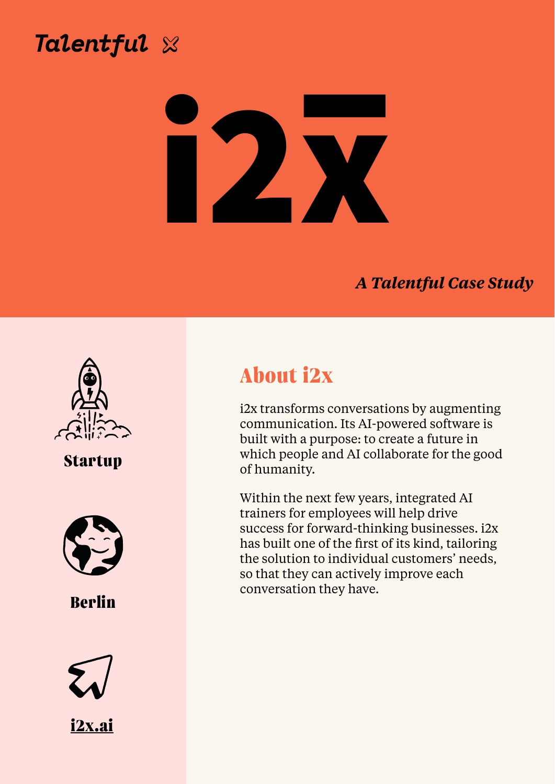# Talentful X



### *A Talentful Case Study*







i2x transforms conversations by augmenting communication. Its AI-powered software is built with a purpose: to create a future in which people and AI collaborate for the good of humanity.

Within the next few years, integrated AI trainers for employees will help drive success for forward-thinking businesses. i2x has built one of the first of its kind, tailoring the solution to individual customers' needs, so that they can actively improve each conversation they have.



## **Startup**



**Berlin**

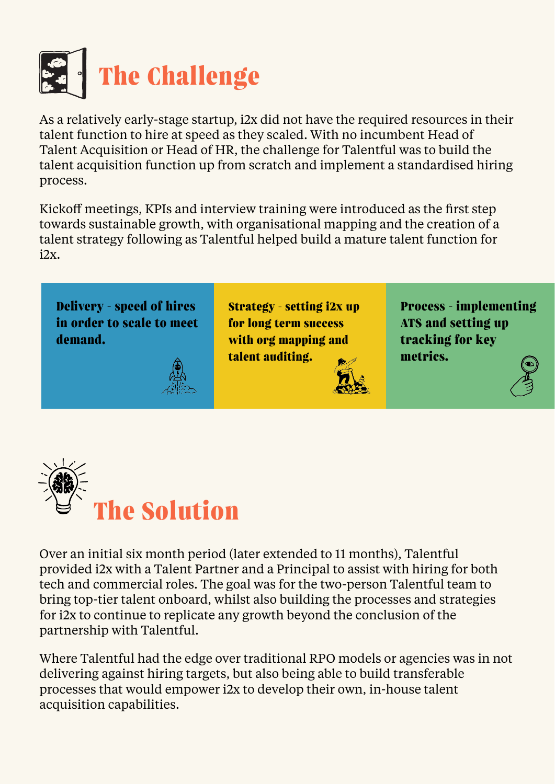

As a relatively early-stage startup, i2x did not have the required resources in their talent function to hire at speed as they scaled. With no incumbent Head of Talent Acquisition or Head of HR, the challenge for Talentful was to build the talent acquisition function up from scratch and implement a standardised hiring process.

Kickoff meetings, KPIs and interview training were introduced as the first step towards sustainable growth, with organisational mapping and the creation of a talent strategy following as Talentful helped build a mature talent function for i2x.



Over an initial six month period (later extended to 11 months), Talentful provided i2x with a Talent Partner and a Principal to assist with hiring for both tech and commercial roles. The goal was for the two-person Talentful team to bring top-tier talent onboard, whilst also building the processes and strategies for i2x to continue to replicate any growth beyond the conclusion of the partnership with Talentful.

Where Talentful had the edge over traditional RPO models or agencies was in not delivering against hiring targets, but also being able to build transferable processes that would empower i2x to develop their own, in-house talent acquisition capabilities.

**Delivery - speed of hires in order to scale to meet demand.**



**Strategy - setting i2x up for long term success with org mapping and talent auditing.**



**Process - implementing ATS and setting up tracking for key metrics.**